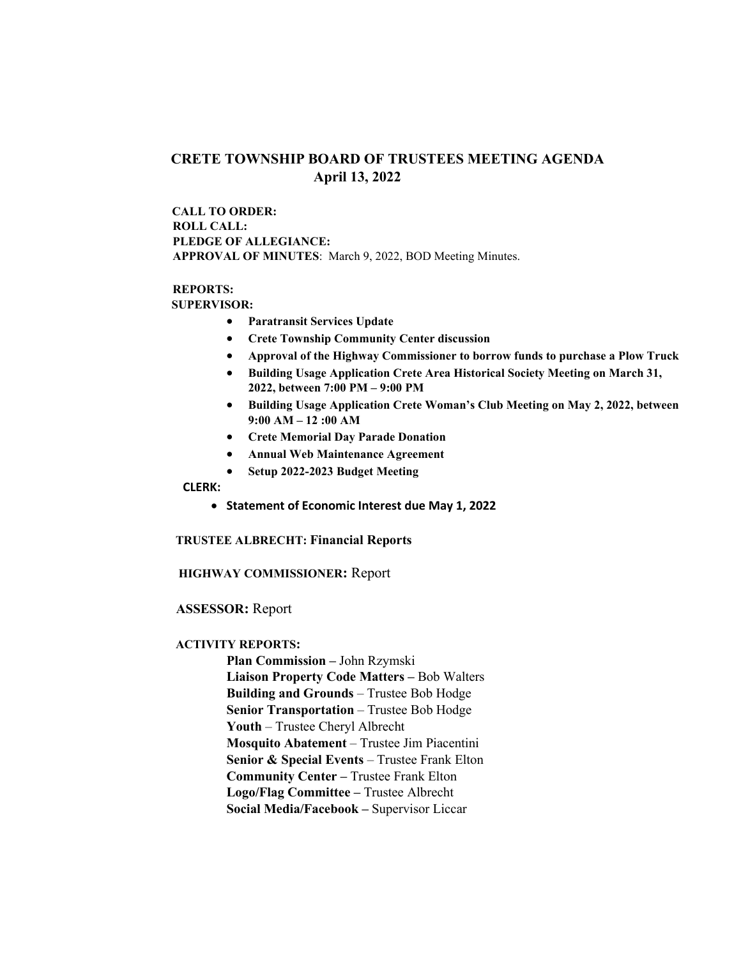# **CRETE TOWNSHIP BOARD OF TRUSTEES MEETING AGENDA April 13, 2022**

 **CALL TO ORDER: ROLL CALL: PLEDGE OF ALLEGIANCE: APPROVAL OF MINUTES**: March 9, 2022, BOD Meeting Minutes.

# **REPORTS:**

 **SUPERVISOR:** 

- **Paratransit Services Update**
- **Crete Township Community Center discussion**
- **Approval of the Highway Commissioner to borrow funds to purchase a Plow Truck**
- **Building Usage Application Crete Area Historical Society Meeting on March 31, 2022, between 7:00 PM – 9:00 PM**
- **Building Usage Application Crete Woman's Club Meeting on May 2, 2022, between 9:00 AM – 12 :00 AM**
- **Crete Memorial Day Parade Donation**
- **Annual Web Maintenance Agreement**
- **Setup 2022-2023 Budget Meeting**

#### **CLERK:**

• **Statement of Economic Interest due May 1, 2022**

#### **TRUSTEE ALBRECHT: Financial Reports**

## **HIGHWAY COMMISSIONER:** Report

## **ASSESSOR:** Report

#### **ACTIVITY REPORTS:**

**Plan Commission –** John Rzymski **Liaison Property Code Matters –** Bob Walters **Building and Grounds** – Trustee Bob Hodge **Senior Transportation** – Trustee Bob Hodge **Youth** – Trustee Cheryl Albrecht **Mosquito Abatement** – Trustee Jim Piacentini **Senior & Special Events** – Trustee Frank Elton **Community Center –** Trustee Frank Elton **Logo/Flag Committee –** Trustee Albrecht **Social Media/Facebook –** Supervisor Liccar